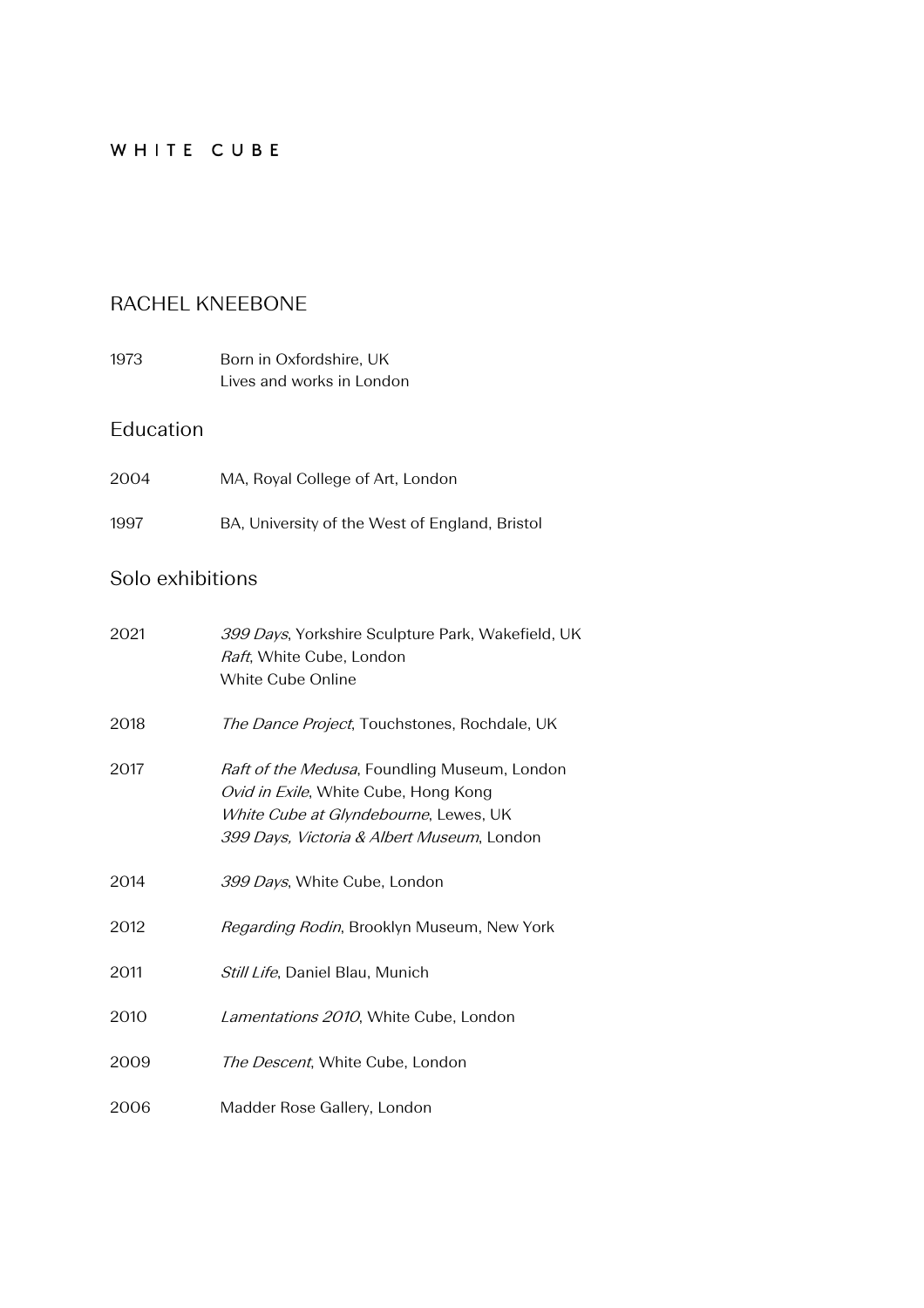### WHITE CUBE

### RACHEL KNEEBONE

1973 Born in Oxfordshire, UK Lives and works in London

#### Education

| 2004 | MA, Royal College of Art, London               |
|------|------------------------------------------------|
| 1997 | BA, University of the West of England, Bristol |

## Solo exhibitions

| 2021 | 399 Days, Yorkshire Sculpture Park, Wakefield, UK<br>Raft, White Cube, London<br>White Cube Online                                                                          |
|------|-----------------------------------------------------------------------------------------------------------------------------------------------------------------------------|
| 2018 | <i>The Dance Project</i> , Touchstones, Rochdale, UK                                                                                                                        |
| 2017 | Raft of the Medusa, Foundling Museum, London<br>Ovid in Exile, White Cube, Hong Kong<br>White Cube at Glyndebourne, Lewes, UK<br>399 Days, Victoria & Albert Museum, London |
| 2014 | 399 Days, White Cube, London                                                                                                                                                |
| 2012 | Regarding Rodin, Brooklyn Museum, New York                                                                                                                                  |
| 2011 | Still Life, Daniel Blau, Munich                                                                                                                                             |
| 2010 | Lamentations 2010, White Cube, London                                                                                                                                       |
| 2009 | The Descent, White Cube, London                                                                                                                                             |
| 2006 | Madder Rose Gallery, London                                                                                                                                                 |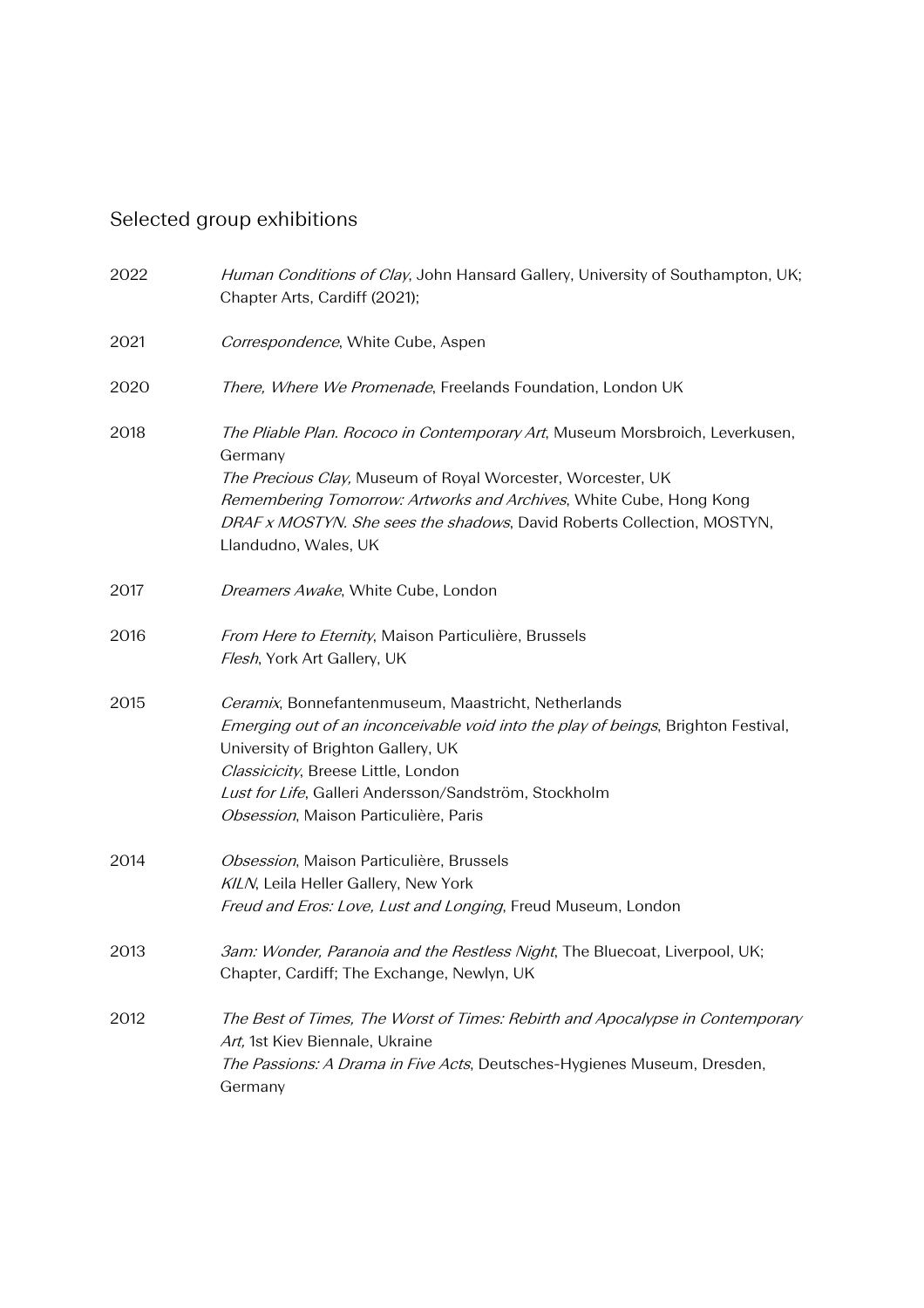# Selected group exhibitions

| 2022 | Human Conditions of Clay, John Hansard Gallery, University of Southampton, UK;<br>Chapter Arts, Cardiff (2021);                                                                                                                                                                                                         |
|------|-------------------------------------------------------------------------------------------------------------------------------------------------------------------------------------------------------------------------------------------------------------------------------------------------------------------------|
| 2021 | Correspondence, White Cube, Aspen                                                                                                                                                                                                                                                                                       |
| 2020 | There, Where We Promenade, Freelands Foundation, London UK                                                                                                                                                                                                                                                              |
| 2018 | The Pliable Plan. Rococo in Contemporary Art, Museum Morsbroich, Leverkusen,<br>Germany                                                                                                                                                                                                                                 |
|      | The Precious Clay, Museum of Royal Worcester, Worcester, UK<br>Remembering Tomorrow: Artworks and Archives, White Cube, Hong Kong<br>DRAF x MOSTYN. She sees the shadows, David Roberts Collection, MOSTYN,<br>Llandudno, Wales, UK                                                                                     |
| 2017 | Dreamers Awake, White Cube, London                                                                                                                                                                                                                                                                                      |
| 2016 | From Here to Eternity, Maison Particulière, Brussels<br>Flesh, York Art Gallery, UK                                                                                                                                                                                                                                     |
| 2015 | Ceramix, Bonnefantenmuseum, Maastricht, Netherlands<br>Emerging out of an inconceivable void into the play of beings, Brighton Festival,<br>University of Brighton Gallery, UK<br>Classicicity, Breese Little, London<br>Lust for Life, Galleri Andersson/Sandström, Stockholm<br>Obsession, Maison Particulière, Paris |
| 2014 | Obsession, Maison Particulière, Brussels<br>KILN, Leila Heller Gallery, New York<br>Freud and Eros: Love, Lust and Longing, Freud Museum, London                                                                                                                                                                        |
| 2013 | 3am: Wonder, Paranoia and the Restless Night, The Bluecoat, Liverpool, UK;<br>Chapter, Cardiff; The Exchange, Newlyn, UK                                                                                                                                                                                                |
| 2012 | The Best of Times, The Worst of Times: Rebirth and Apocalypse in Contemporary<br>Art, 1st Kiev Biennale, Ukraine<br>The Passions: A Drama in Five Acts, Deutsches-Hygienes Museum, Dresden,<br>Germany                                                                                                                  |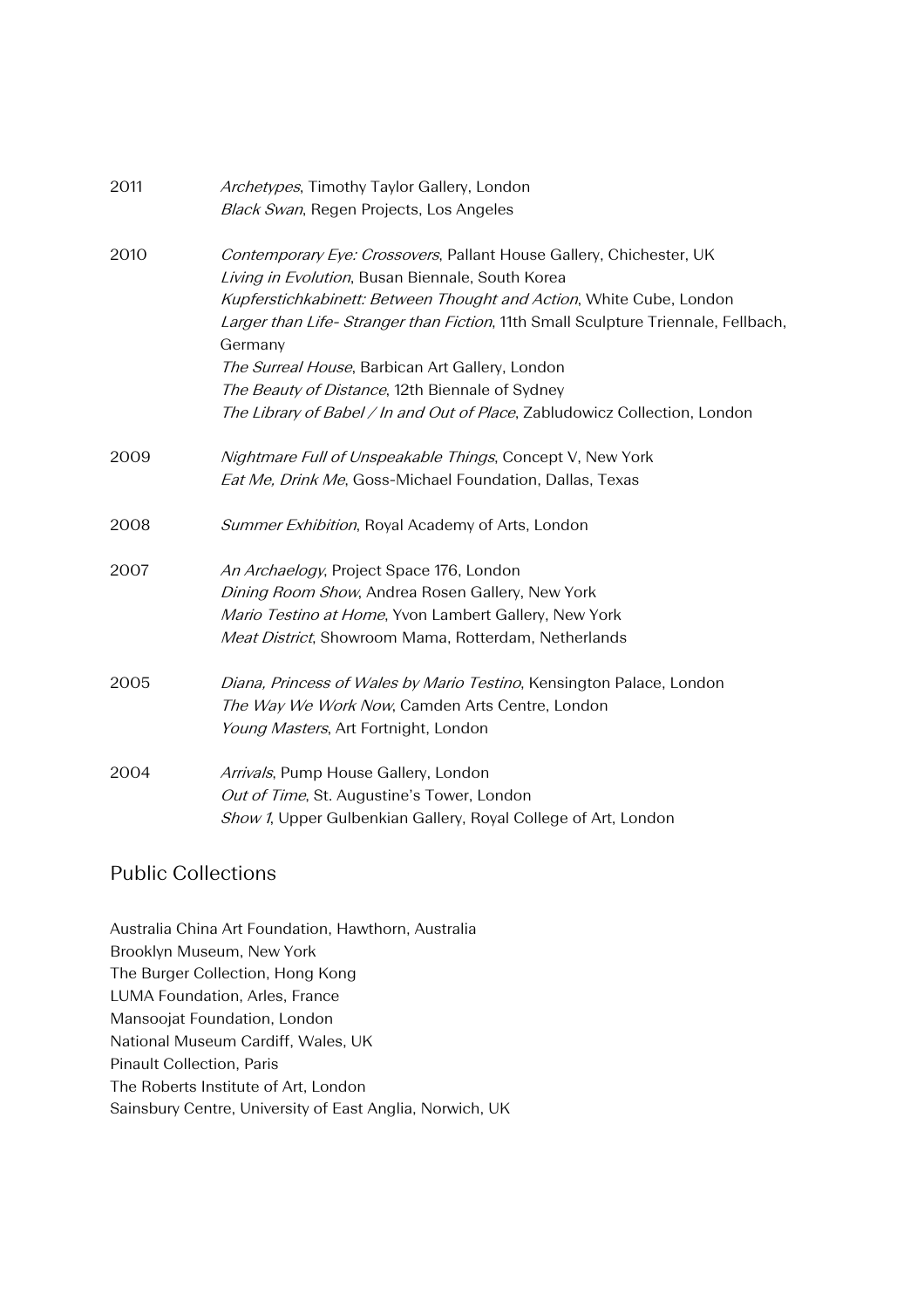| 2011 | Archetypes, Timothy Taylor Gallery, London                                                   |
|------|----------------------------------------------------------------------------------------------|
|      | <b>Black Swan, Regen Projects, Los Angeles</b>                                               |
| 2010 | Contemporary Eye: Crossovers, Pallant House Gallery, Chichester, UK                          |
|      | Living in Evolution, Busan Biennale, South Korea                                             |
|      | Kupferstichkabinett: Between Thought and Action, White Cube, London                          |
|      | Larger than Life-Stranger than Fiction, 11th Small Sculpture Triennale, Fellbach,<br>Germany |
|      | The Surreal House, Barbican Art Gallery, London                                              |
|      | The Beauty of Distance, 12th Biennale of Sydney                                              |
|      | The Library of Babel / In and Out of Place, Zabludowicz Collection, London                   |
| 2009 | Nightmare Full of Unspeakable Things, Concept V, New York                                    |
|      | Eat Me, Drink Me, Goss-Michael Foundation, Dallas, Texas                                     |
| 2008 | Summer Exhibition, Royal Academy of Arts, London                                             |
| 2007 | An Archaelogy, Project Space 176, London                                                     |
|      | Dining Room Show, Andrea Rosen Gallery, New York                                             |
|      | Mario Testino at Home, Yvon Lambert Gallery, New York                                        |
|      | Meat District, Showroom Mama, Rotterdam, Netherlands                                         |
| 2005 | Diana, Princess of Wales by Mario Testino, Kensington Palace, London                         |
|      | The Way We Work Now, Camden Arts Centre, London                                              |
|      | Young Masters, Art Fortnight, London                                                         |
| 2004 | Arrivals, Pump House Gallery, London                                                         |
|      | Out of Time, St. Augustine's Tower, London                                                   |
|      | Show 1, Upper Gulbenkian Gallery, Royal College of Art, London                               |

#### Public Collections

Australia China Art Foundation, Hawthorn, Australia Brooklyn Museum, New York The Burger Collection, Hong Kong LUMA Foundation, Arles, France Mansoojat Foundation, London National Museum Cardiff, Wales, UK Pinault Collection, Paris The Roberts Institute of Art, London Sainsbury Centre, University of East Anglia, Norwich, UK